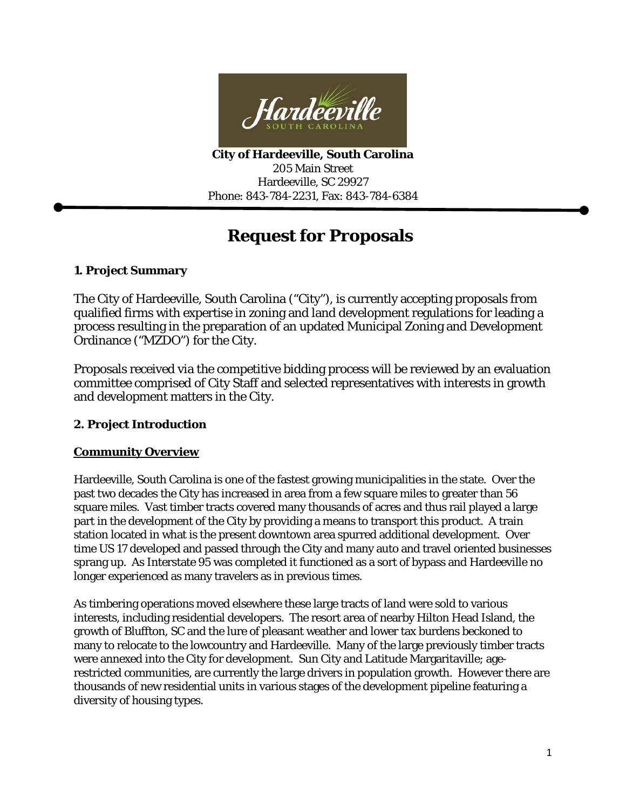

**City of Hardeeville, South Carolina** 205 Main Street Hardeeville, SC 29927 Phone: 843-784-2231, Fax: 843-784-6384

# **Request for Proposals**

# **1. Project Summary**

The City of Hardeeville, South Carolina ("City"), is currently accepting proposals from qualified firms with expertise in zoning and land development regulations for leading a process resulting in the preparation of an updated Municipal Zoning and Development Ordinance ("MZDO") for the City.

Proposals received via the competitive bidding process will be reviewed by an evaluation committee comprised of City Staff and selected representatives with interests in growth and development matters in the City.

# **2. Project Introduction**

# **Community Overview**

Hardeeville, South Carolina is one of the fastest growing municipalities in the state. Over the past two decades the City has increased in area from a few square miles to greater than 56 square miles. Vast timber tracts covered many thousands of acres and thus rail played a large part in the development of the City by providing a means to transport this product. A train station located in what is the present downtown area spurred additional development. Over time US 17 developed and passed through the City and many auto and travel oriented businesses sprang up. As Interstate 95 was completed it functioned as a sort of bypass and Hardeeville no longer experienced as many travelers as in previous times.

As timbering operations moved elsewhere these large tracts of land were sold to various interests, including residential developers. The resort area of nearby Hilton Head Island, the growth of Bluffton, SC and the lure of pleasant weather and lower tax burdens beckoned to many to relocate to the lowcountry and Hardeeville. Many of the large previously timber tracts were annexed into the City for development. Sun City and Latitude Margaritaville; agerestricted communities, are currently the large drivers in population growth. However there are thousands of new residential units in various stages of the development pipeline featuring a diversity of housing types.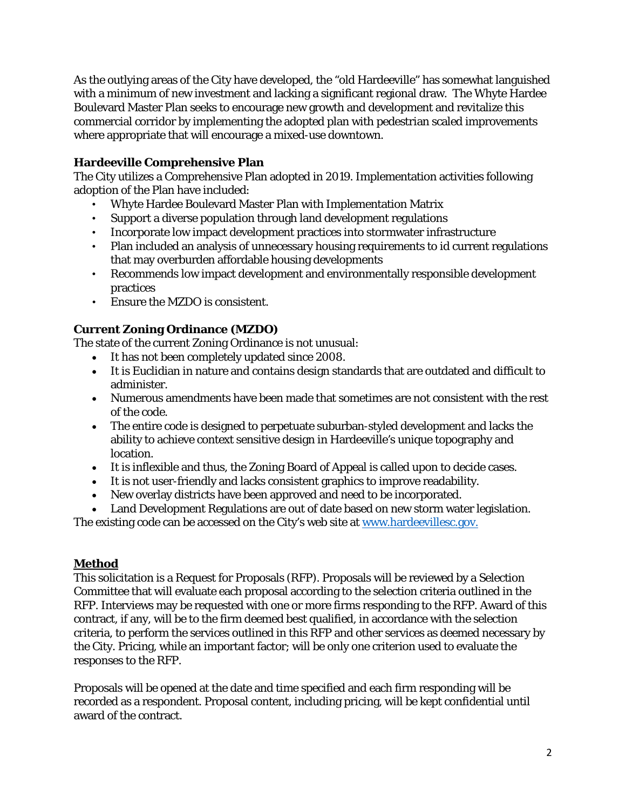As the outlying areas of the City have developed, the "old Hardeeville" has somewhat languished with a minimum of new investment and lacking a significant regional draw. The Whyte Hardee Boulevard Master Plan seeks to encourage new growth and development and revitalize this commercial corridor by implementing the adopted plan with pedestrian scaled improvements where appropriate that will encourage a mixed-use downtown.

# **Hardeeville Comprehensive Plan**

The City utilizes a Comprehensive Plan adopted in 2019. Implementation activities following adoption of the Plan have included:

- Whyte Hardee Boulevard Master Plan with Implementation Matrix
- Support a diverse population through land development regulations
- Incorporate low impact development practices into stormwater infrastructure
- Plan included an analysis of unnecessary housing requirements to id current regulations that may overburden affordable housing developments
- Recommends low impact development and environmentally responsible development practices
- Ensure the MZDO is consistent.

# **Current Zoning Ordinance (MZDO)**

The state of the current Zoning Ordinance is not unusual:

- It has not been completely updated since 2008.
- It is Euclidian in nature and contains design standards that are outdated and difficult to administer.
- Numerous amendments have been made that sometimes are not consistent with the rest of the code.
- The entire code is designed to perpetuate suburban-styled development and lacks the ability to achieve context sensitive design in Hardeeville's unique topography and location.
- It is inflexible and thus, the Zoning Board of Appeal is called upon to decide cases.
- It is not user-friendly and lacks consistent graphics to improve readability.
- New overlay districts have been approved and need to be incorporated.
- Land Development Regulations are out of date based on new storm water legislation.

The existing code can be accessed on the City's web site at [www.hardeevillesc.gov.](http://www.hardeevillesc.gov./)

# **Method**

This solicitation is a Request for Proposals (RFP). Proposals will be reviewed by a Selection Committee that will evaluate each proposal according to the selection criteria outlined in the RFP. Interviews may be requested with one or more firms responding to the RFP. Award of this contract, if any, will be to the firm deemed best qualified, in accordance with the selection criteria, to perform the services outlined in this RFP and other services as deemed necessary by the City. Pricing, while an important factor; will be only one criterion used to evaluate the responses to the RFP.

Proposals will be opened at the date and time specified and each firm responding will be recorded as a respondent. Proposal content, including pricing, will be kept confidential until award of the contract.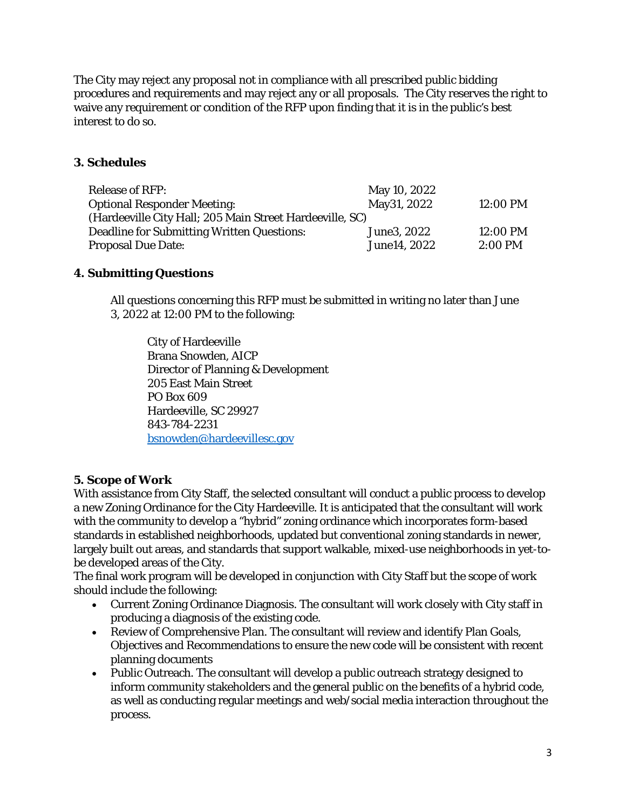The City may reject any proposal not in compliance with all prescribed public bidding procedures and requirements and may reject any or all proposals. The City reserves the right to waive any requirement or condition of the RFP upon finding that it is in the public's best interest to do so.

# **3. Schedules**

| <b>Release of RFP:</b>                                   | May 10, 2022 |           |
|----------------------------------------------------------|--------------|-----------|
| <b>Optional Responder Meeting:</b>                       | May 31, 2022 | 12:00 PM  |
| (Hardeeville City Hall; 205 Main Street Hardeeville, SC) |              |           |
| Deadline for Submitting Written Questions:               | June 3, 2022 | 12:00 PM  |
| <b>Proposal Due Date:</b>                                | June14, 2022 | $2:00$ PM |

# **4. Submitting Questions**

All questions concerning this RFP must be submitted in writing no later than June 3, 2022 at 12:00 PM to the following:

City of Hardeeville Brana Snowden, AICP Director of Planning & Development 205 East Main Street PO Box 609 Hardeeville, SC 29927 843-784-2231 [bsnowden@hardeevillesc.gov](mailto:bsnowden@hardeevillesc.gov)

# **5. Scope of Work**

With assistance from City Staff, the selected consultant will conduct a public process to develop a new Zoning Ordinance for the City Hardeeville. It is anticipated that the consultant will work with the community to develop a "hybrid" zoning ordinance which incorporates form-based standards in established neighborhoods, updated but conventional zoning standards in newer, largely built out areas, and standards that support walkable, mixed-use neighborhoods in yet-tobe developed areas of the City.

The final work program will be developed in conjunction with City Staff but the scope of work should include the following:

- Current Zoning Ordinance Diagnosis. The consultant will work closely with City staff in producing a diagnosis of the existing code.
- Review of Comprehensive Plan. The consultant will review and identify Plan Goals, Objectives and Recommendations to ensure the new code will be consistent with recent planning documents
- Public Outreach. The consultant will develop a public outreach strategy designed to inform community stakeholders and the general public on the benefits of a hybrid code, as well as conducting regular meetings and web/social media interaction throughout the process.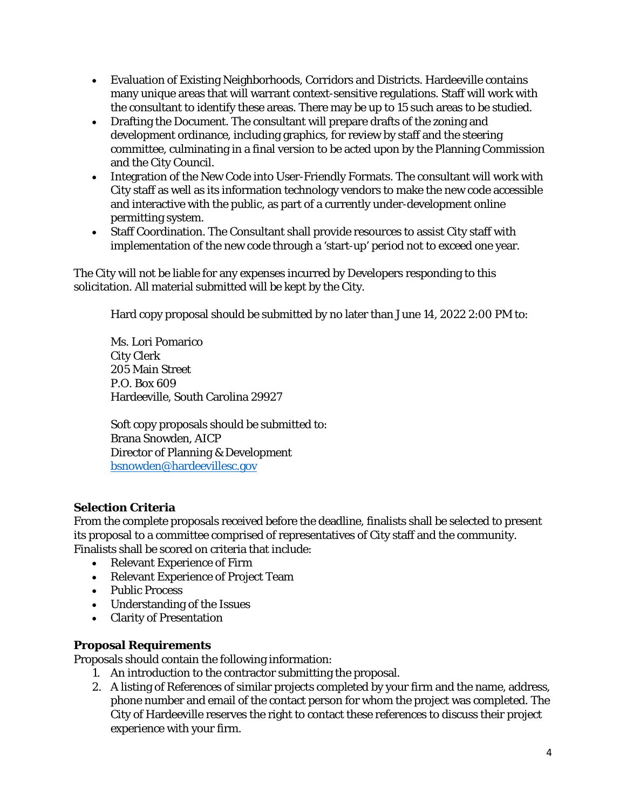- Evaluation of Existing Neighborhoods, Corridors and Districts. Hardeeville contains many unique areas that will warrant context-sensitive regulations. Staff will work with the consultant to identify these areas. There may be up to 15 such areas to be studied.
- Drafting the Document. The consultant will prepare drafts of the zoning and development ordinance, including graphics, for review by staff and the steering committee, culminating in a final version to be acted upon by the Planning Commission and the City Council.
- Integration of the New Code into User-Friendly Formats. The consultant will work with City staff as well as its information technology vendors to make the new code accessible and interactive with the public, as part of a currently under-development online permitting system.
- Staff Coordination. The Consultant shall provide resources to assist City staff with implementation of the new code through a 'start-up' period not to exceed one year.

The City will not be liable for any expenses incurred by Developers responding to this solicitation. All material submitted will be kept by the City.

Hard copy proposal should be submitted by no later than June 14, 2022 2:00 PM to:

Ms. Lori Pomarico City Clerk 205 Main Street P.O. Box 609 Hardeeville, South Carolina 29927

Soft copy proposals should be submitted to: Brana Snowden, AICP Director of Planning & Development [bsnowden@hardeevillesc.gov](mailto:bsnowden@hardeevillesc.gov)

# **Selection Criteria**

From the complete proposals received before the deadline, finalists shall be selected to present its proposal to a committee comprised of representatives of City staff and the community. Finalists shall be scored on criteria that include:

- Relevant Experience of Firm
- Relevant Experience of Project Team
- Public Process
- Understanding of the Issues
- Clarity of Presentation

### **Proposal Requirements**

Proposals should contain the following information:

- 1. An introduction to the contractor submitting the proposal.
- 2. A listing of References of similar projects completed by your firm and the name, address, phone number and email of the contact person for whom the project was completed. The City of Hardeeville reserves the right to contact these references to discuss their project experience with your firm.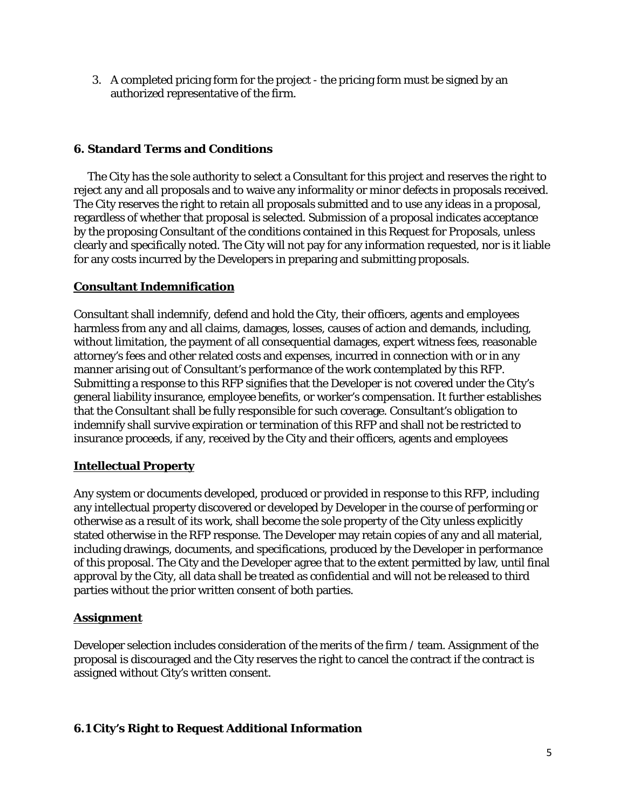3. A completed pricing form for the project - the pricing form must be signed by an authorized representative of the firm.

### **6. Standard Terms and Conditions**

The City has the sole authority to select a Consultant for this project and reserves the right to reject any and all proposals and to waive any informality or minor defects in proposals received. The City reserves the right to retain all proposals submitted and to use any ideas in a proposal, regardless of whether that proposal is selected. Submission of a proposal indicates acceptance by the proposing Consultant of the conditions contained in this Request for Proposals, unless clearly and specifically noted. The City will not pay for any information requested, nor is it liable for any costs incurred by the Developers in preparing and submitting proposals.

### **Consultant Indemnification**

Consultant shall indemnify, defend and hold the City, their officers, agents and employees harmless from any and all claims, damages, losses, causes of action and demands, including, without limitation, the payment of all consequential damages, expert witness fees, reasonable attorney's fees and other related costs and expenses, incurred in connection with or in any manner arising out of Consultant's performance of the work contemplated by this RFP. Submitting a response to this RFP signifies that the Developer is not covered under the City's general liability insurance, employee benefits, or worker's compensation. It further establishes that the Consultant shall be fully responsible for such coverage. Consultant's obligation to indemnify shall survive expiration or termination of this RFP and shall not be restricted to insurance proceeds, if any, received by the City and their officers, agents and employees

# **Intellectual Property**

Any system or documents developed, produced or provided in response to this RFP, including any intellectual property discovered or developed by Developer in the course of performing or otherwise as a result of its work, shall become the sole property of the City unless explicitly stated otherwise in the RFP response. The Developer may retain copies of any and all material, including drawings, documents, and specifications, produced by the Developer in performance of this proposal. The City and the Developer agree that to the extent permitted by law, until final approval by the City, all data shall be treated as confidential and will not be released to third parties without the prior written consent of both parties.

# **Assignment**

Developer selection includes consideration of the merits of the firm / team. Assignment of the proposal is discouraged and the City reserves the right to cancel the contract if the contract is assigned without City's written consent.

# **6.1 City's Right to Request Additional Information**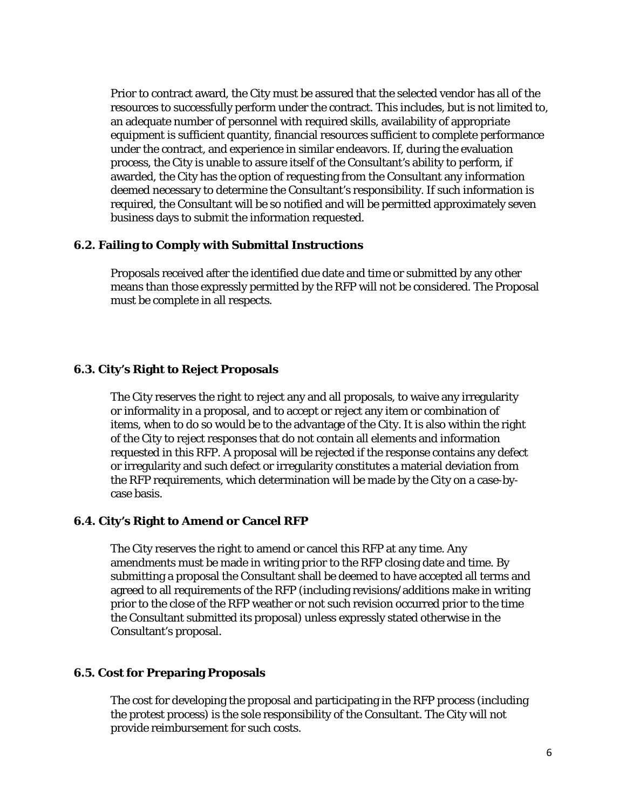Prior to contract award, the City must be assured that the selected vendor has all of the resources to successfully perform under the contract. This includes, but is not limited to, an adequate number of personnel with required skills, availability of appropriate equipment is sufficient quantity, financial resources sufficient to complete performance under the contract, and experience in similar endeavors. If, during the evaluation process, the City is unable to assure itself of the Consultant's ability to perform, if awarded, the City has the option of requesting from the Consultant any information deemed necessary to determine the Consultant's responsibility. If such information is required, the Consultant will be so notified and will be permitted approximately seven business days to submit the information requested.

### **6.2. Failing to Comply with Submittal Instructions**

Proposals received after the identified due date and time or submitted by any other means than those expressly permitted by the RFP will not be considered. The Proposal must be complete in all respects.

#### **6.3. City's Right to Reject Proposals**

The City reserves the right to reject any and all proposals, to waive any irregularity or informality in a proposal, and to accept or reject any item or combination of items, when to do so would be to the advantage of the City. It is also within the right of the City to reject responses that do not contain all elements and information requested in this RFP. A proposal will be rejected if the response contains any defect or irregularity and such defect or irregularity constitutes a material deviation from the RFP requirements, which determination will be made by the City on a case-bycase basis.

### **6.4. City's Right to Amend or Cancel RFP**

The City reserves the right to amend or cancel this RFP at any time. Any amendments must be made in writing prior to the RFP closing date and time. By submitting a proposal the Consultant shall be deemed to have accepted all terms and agreed to all requirements of the RFP (including revisions/additions make in writing prior to the close of the RFP weather or not such revision occurred prior to the time the Consultant submitted its proposal) unless expressly stated otherwise in the Consultant's proposal.

### **6.5. Cost for Preparing Proposals**

The cost for developing the proposal and participating in the RFP process (including the protest process) is the sole responsibility of the Consultant. The City will not provide reimbursement for such costs.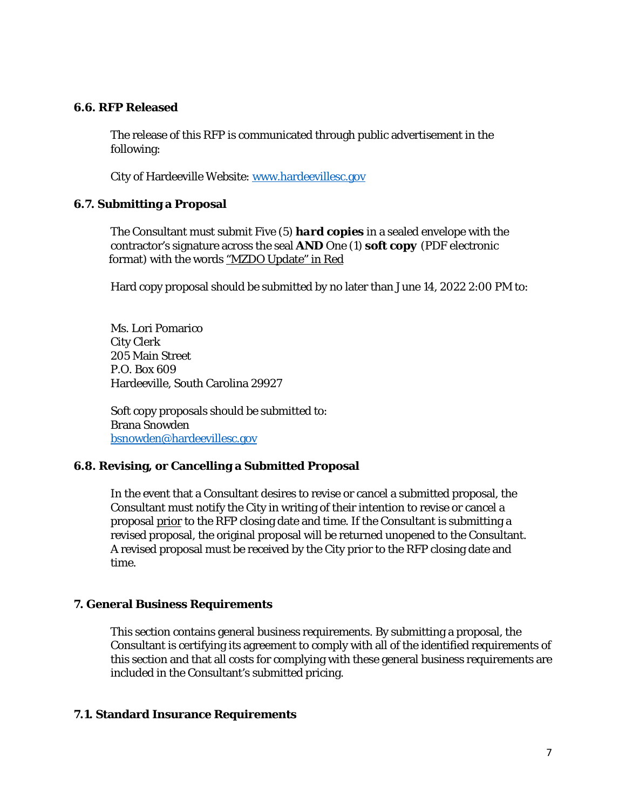### **6.6. RFP Released**

The release of this RFP is communicated through public advertisement in the following:

City of Hardeeville Website[: www.hardeevillesc.gov](http://www.hardeevillesc.gov/)

#### **6.7. Submitting a Proposal**

The Consultant must submit Five (5) *hard copies* in a sealed envelope with the contractor's signature across the seal **AND** One (1) *soft copy* (PDF electronic format) with the words "MZDO Update" in Red

Hard copy proposal should be submitted by no later than June 14, 2022 2:00 PM to:

Ms. Lori Pomarico City Clerk 205 Main Street P.O. Box 609 Hardeeville, South Carolina 29927

Soft copy proposals should be submitted to: Brana Snowden [bsnowden@hardeevillesc.gov](mailto:bsnowden@hardeevillesc.gov)

### **6.8. Revising, or Cancelling a Submitted Proposal**

In the event that a Consultant desires to revise or cancel a submitted proposal, the Consultant must notify the City in writing of their intention to revise or cancel a proposal prior to the RFP closing date and time. If the Consultant is submitting a revised proposal, the original proposal will be returned unopened to the Consultant. A revised proposal must be received by the City prior to the RFP closing date and time.

### **7. General Business Requirements**

This section contains general business requirements. By submitting a proposal, the Consultant is certifying its agreement to comply with all of the identified requirements of this section and that all costs for complying with these general business requirements are included in the Consultant's submitted pricing.

#### **7.1. Standard Insurance Requirements**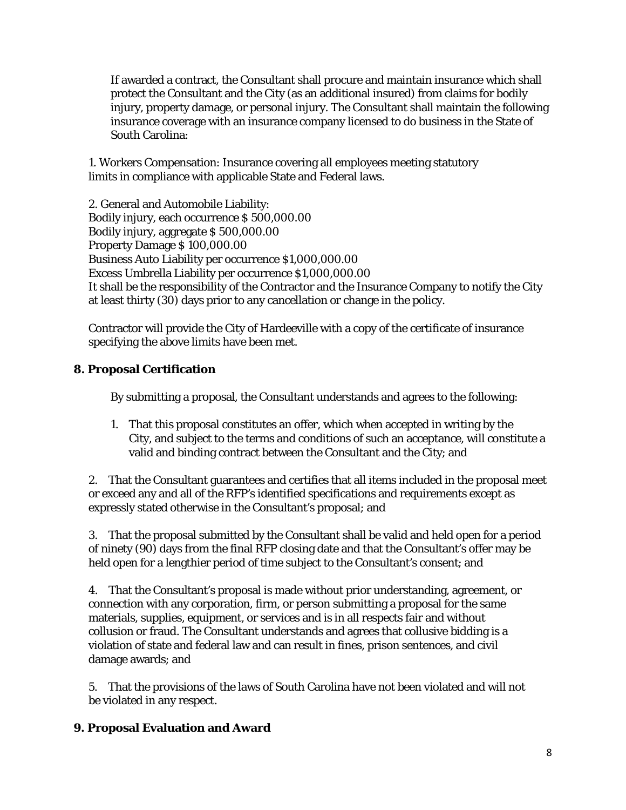If awarded a contract, the Consultant shall procure and maintain insurance which shall protect the Consultant and the City (as an additional insured) from claims for bodily injury, property damage, or personal injury. The Consultant shall maintain the following insurance coverage with an insurance company licensed to do business in the State of South Carolina:

1. Workers Compensation: Insurance covering all employees meeting statutory limits in compliance with applicable State and Federal laws.

2. General and Automobile Liability: Bodily injury, each occurrence \$ 500,000.00 Bodily injury, aggregate \$ 500,000.00 Property Damage \$ 100,000.00 Business Auto Liability per occurrence \$1,000,000.00 Excess Umbrella Liability per occurrence \$1,000,000.00 It shall be the responsibility of the Contractor and the Insurance Company to notify the City at least thirty (30) days prior to any cancellation or change in the policy.

Contractor will provide the City of Hardeeville with a copy of the certificate of insurance specifying the above limits have been met.

# **8. Proposal Certification**

By submitting a proposal, the Consultant understands and agrees to the following:

1. That this proposal constitutes an offer, which when accepted in writing by the City, and subject to the terms and conditions of such an acceptance, will constitute a valid and binding contract between the Consultant and the City; and

2. That the Consultant guarantees and certifies that all items included in the proposal meet or exceed any and all of the RFP's identified specifications and requirements except as expressly stated otherwise in the Consultant's proposal; and

3. That the proposal submitted by the Consultant shall be valid and held open for a period of ninety (90) days from the final RFP closing date and that the Consultant's offer may be held open for a lengthier period of time subject to the Consultant's consent; and

4. That the Consultant's proposal is made without prior understanding, agreement, or connection with any corporation, firm, or person submitting a proposal for the same materials, supplies, equipment, or services and is in all respects fair and without collusion or fraud. The Consultant understands and agrees that collusive bidding is a violation of state and federal law and can result in fines, prison sentences, and civil damage awards; and

5. That the provisions of the laws of South Carolina have not been violated and will not be violated in any respect.

# **9. Proposal Evaluation and Award**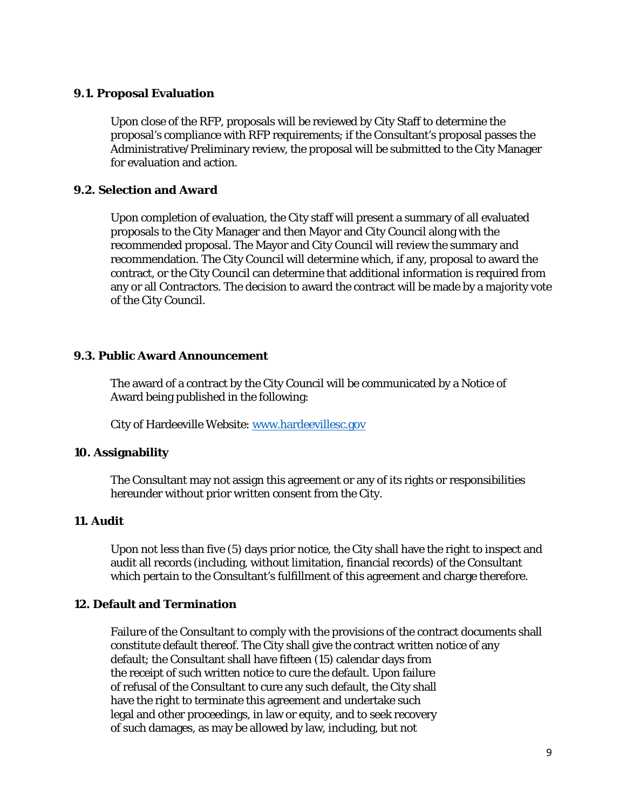#### **9.1. Proposal Evaluation**

Upon close of the RFP, proposals will be reviewed by City Staff to determine the proposal's compliance with RFP requirements; if the Consultant's proposal passes the Administrative/Preliminary review, the proposal will be submitted to the City Manager for evaluation and action.

#### **9.2. Selection and Award**

Upon completion of evaluation, the City staff will present a summary of all evaluated proposals to the City Manager and then Mayor and City Council along with the recommended proposal. The Mayor and City Council will review the summary and recommendation. The City Council will determine which, if any, proposal to award the contract, or the City Council can determine that additional information is required from any or all Contractors. The decision to award the contract will be made by a majority vote of the City Council.

### **9.3. Public Award Announcement**

The award of a contract by the City Council will be communicated by a Notice of Award being published in the following:

City of Hardeeville Website[: www.hardeevillesc.gov](http://www.cityofhardeeville.com/)

### **10. Assignability**

The Consultant may not assign this agreement or any of its rights or responsibilities hereunder without prior written consent from the City.

### **11. Audit**

Upon not less than five (5) days prior notice, the City shall have the right to inspect and audit all records (including, without limitation, financial records) of the Consultant which pertain to the Consultant's fulfillment of this agreement and charge therefore.

### **12. Default and Termination**

Failure of the Consultant to comply with the provisions of the contract documents shall constitute default thereof. The City shall give the contract written notice of any default; the Consultant shall have fifteen (15) calendar days from the receipt of such written notice to cure the default. Upon failure of refusal of the Consultant to cure any such default, the City shall have the right to terminate this agreement and undertake such legal and other proceedings, in law or equity, and to seek recovery of such damages, as may be allowed by law, including, but not